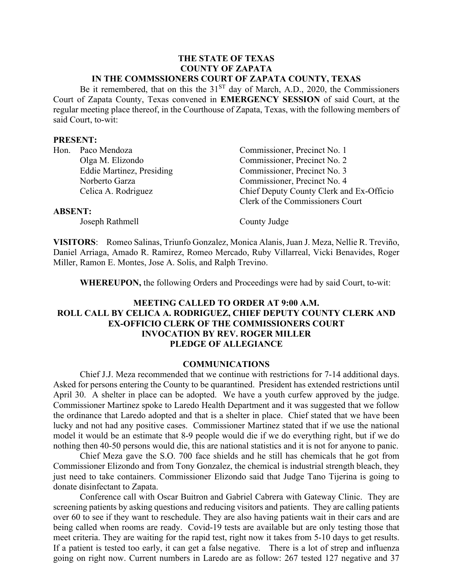#### **THE STATE OF TEXAS COUNTY OF ZAPATA IN THE COMMSSIONERS COURT OF ZAPATA COUNTY, TEXAS**

Be it remembered, that on this the  $31<sup>ST</sup>$  day of March, A.D., 2020, the Commissioners Court of Zapata County, Texas convened in **EMERGENCY SESSION** of said Court, at the regular meeting place thereof, in the Courthouse of Zapata, Texas, with the following members of said Court, to-wit:

#### **PRESENT:**

| Hon. Paco Mendoza                | Commissioner, Precinct No. 1             |
|----------------------------------|------------------------------------------|
| Olga M. Elizondo                 | Commissioner, Precinct No. 2             |
| <b>Eddie Martinez, Presiding</b> | Commissioner, Precinct No. 3             |
| Norberto Garza                   | Commissioner, Precinct No. 4             |
| Celica A. Rodriguez              | Chief Deputy County Clerk and Ex-Officio |
|                                  | Clerk of the Commissioners Court         |
| <b>ABSENT:</b>                   |                                          |
| Joseph Rathmell                  | County Judge                             |
|                                  |                                          |

**VISITORS**: Romeo Salinas, Triunfo Gonzalez, Monica Alanis, Juan J. Meza, Nellie R. Treviño, Daniel Arriaga, Amado R. Ramirez, Romeo Mercado, Ruby Villarreal, Vicki Benavides, Roger Miller, Ramon E. Montes, Jose A. Solis, and Ralph Trevino.

**WHEREUPON,** the following Orders and Proceedings were had by said Court, to-wit:

### **MEETING CALLED TO ORDER AT 9:00 A.M. ROLL CALL BY CELICA A. RODRIGUEZ, CHIEF DEPUTY COUNTY CLERK AND EX-OFFICIO CLERK OF THE COMMISSIONERS COURT INVOCATION BY REV. ROGER MILLER PLEDGE OF ALLEGIANCE**

#### **COMMUNICATIONS**

Chief J.J. Meza recommended that we continue with restrictions for 7-14 additional days. Asked for persons entering the County to be quarantined. President has extended restrictions until April 30. A shelter in place can be adopted. We have a youth curfew approved by the judge. Commissioner Martinez spoke to Laredo Health Department and it was suggested that we follow the ordinance that Laredo adopted and that is a shelter in place. Chief stated that we have been lucky and not had any positive cases. Commissioner Martinez stated that if we use the national model it would be an estimate that 8-9 people would die if we do everything right, but if we do nothing then 40-50 persons would die, this are national statistics and it is not for anyone to panic.

Chief Meza gave the S.O. 700 face shields and he still has chemicals that he got from Commissioner Elizondo and from Tony Gonzalez, the chemical is industrial strength bleach, they just need to take containers. Commissioner Elizondo said that Judge Tano Tijerina is going to donate disinfectant to Zapata.

Conference call with Oscar Buitron and Gabriel Cabrera with Gateway Clinic. They are screening patients by asking questions and reducing visitors and patients. They are calling patients over 60 to see if they want to reschedule. They are also having patients wait in their cars and are being called when rooms are ready. Covid-19 tests are available but are only testing those that meet criteria. They are waiting for the rapid test, right now it takes from 5-10 days to get results. If a patient is tested too early, it can get a false negative. There is a lot of strep and influenza going on right now. Current numbers in Laredo are as follow: 267 tested 127 negative and 37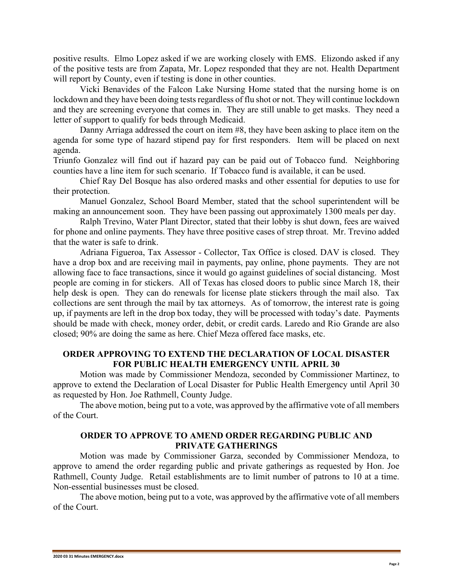positive results. Elmo Lopez asked if we are working closely with EMS. Elizondo asked if any of the positive tests are from Zapata, Mr. Lopez responded that they are not. Health Department will report by County, even if testing is done in other counties.

Vicki Benavides of the Falcon Lake Nursing Home stated that the nursing home is on lockdown and they have been doing tests regardless of flu shot or not. They will continue lockdown and they are screening everyone that comes in. They are still unable to get masks. They need a letter of support to qualify for beds through Medicaid.

Danny Arriaga addressed the court on item #8, they have been asking to place item on the agenda for some type of hazard stipend pay for first responders. Item will be placed on next agenda.

Triunfo Gonzalez will find out if hazard pay can be paid out of Tobacco fund. Neighboring counties have a line item for such scenario. If Tobacco fund is available, it can be used.

Chief Ray Del Bosque has also ordered masks and other essential for deputies to use for their protection.

Manuel Gonzalez, School Board Member, stated that the school superintendent will be making an announcement soon. They have been passing out approximately 1300 meals per day.

Ralph Trevino, Water Plant Director, stated that their lobby is shut down, fees are waived for phone and online payments. They have three positive cases of strep throat. Mr. Trevino added that the water is safe to drink.

Adriana Figueroa, Tax Assessor - Collector, Tax Office is closed. DAV is closed. They have a drop box and are receiving mail in payments, pay online, phone payments. They are not allowing face to face transactions, since it would go against guidelines of social distancing. Most people are coming in for stickers. All of Texas has closed doors to public since March 18, their help desk is open. They can do renewals for license plate stickers through the mail also. Tax collections are sent through the mail by tax attorneys. As of tomorrow, the interest rate is going up, if payments are left in the drop box today, they will be processed with today's date. Payments should be made with check, money order, debit, or credit cards. Laredo and Rio Grande are also closed; 90% are doing the same as here. Chief Meza offered face masks, etc.

### **ORDER APPROVING TO EXTEND THE DECLARATION OF LOCAL DISASTER FOR PUBLIC HEALTH EMERGENCY UNTIL APRIL 30**

Motion was made by Commissioner Mendoza, seconded by Commissioner Martinez, to approve to extend the Declaration of Local Disaster for Public Health Emergency until April 30 as requested by Hon. Joe Rathmell, County Judge.

The above motion, being put to a vote, was approved by the affirmative vote of all members of the Court.

## **ORDER TO APPROVE TO AMEND ORDER REGARDING PUBLIC AND PRIVATE GATHERINGS**

Motion was made by Commissioner Garza, seconded by Commissioner Mendoza, to approve to amend the order regarding public and private gatherings as requested by Hon. Joe Rathmell, County Judge. Retail establishments are to limit number of patrons to 10 at a time. Non-essential businesses must be closed.

The above motion, being put to a vote, was approved by the affirmative vote of all members of the Court.